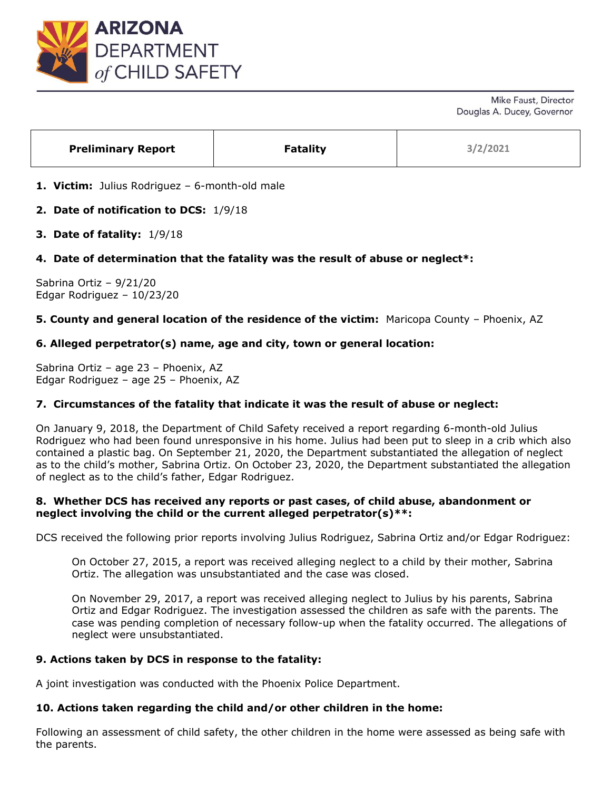

| <b>Preliminary Report</b> | <b>Fatality</b> | 3/2/2021 |
|---------------------------|-----------------|----------|
|---------------------------|-----------------|----------|

- **1. Victim:** Julius Rodriguez 6-month-old male
- **2. Date of notification to DCS:** 1/9/18
- **3. Date of fatality:** 1/9/18

# **4. Date of determination that the fatality was the result of abuse or neglect\*:**

Sabrina Ortiz – 9/21/20 Edgar Rodriguez – 10/23/20

### **5. County and general location of the residence of the victim:** Maricopa County – Phoenix, AZ

# **6. Alleged perpetrator(s) name, age and city, town or general location:**

Sabrina Ortiz – age 23 – Phoenix, AZ Edgar Rodriguez – age 25 – Phoenix, AZ

### **7. Circumstances of the fatality that indicate it was the result of abuse or neglect:**

On January 9, 2018, the Department of Child Safety received a report regarding 6-month-old Julius Rodriguez who had been found unresponsive in his home. Julius had been put to sleep in a crib which also contained a plastic bag. On September 21, 2020, the Department substantiated the allegation of neglect as to the child's mother, Sabrina Ortiz. On October 23, 2020, the Department substantiated the allegation of neglect as to the child's father, Edgar Rodriguez.

### **8. Whether DCS has received any reports or past cases, of child abuse, abandonment or neglect involving the child or the current alleged perpetrator(s)\*\*:**

DCS received the following prior reports involving Julius Rodriguez, Sabrina Ortiz and/or Edgar Rodriguez:

On October 27, 2015, a report was received alleging neglect to a child by their mother, Sabrina Ortiz. The allegation was unsubstantiated and the case was closed.

On November 29, 2017, a report was received alleging neglect to Julius by his parents, Sabrina Ortiz and Edgar Rodriguez. The investigation assessed the children as safe with the parents. The case was pending completion of necessary follow-up when the fatality occurred. The allegations of neglect were unsubstantiated.

### **9. Actions taken by DCS in response to the fatality:**

A joint investigation was conducted with the Phoenix Police Department.

### **10. Actions taken regarding the child and/or other children in the home:**

Following an assessment of child safety, the other children in the home were assessed as being safe with the parents.